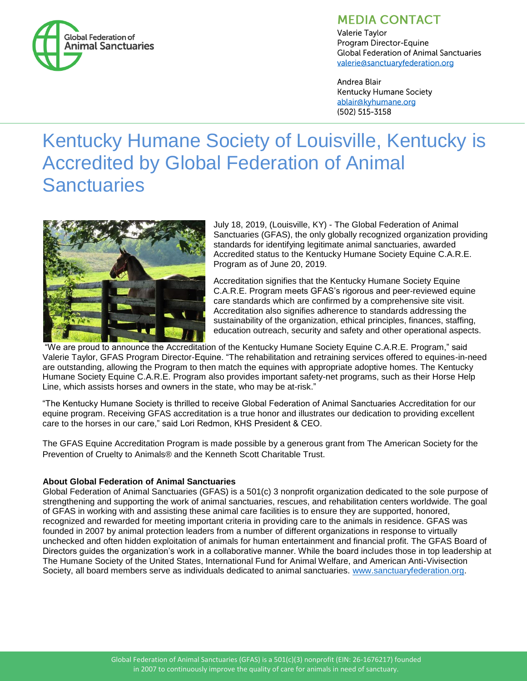

## **MEDIA CONTACT**

Valerie Taylor Program Director-Equine **Global Federation of Animal Sanctuaries** valerie@sanctuaryfederation.org

Andrea Blair **Kentucky Humane Society** ablair@kyhumane.org (502) 515-3158

# Kentucky Humane Society of Louisville, Kentucky is Accredited by Global Federation of Animal **Sanctuaries**



July 18, 2019, (Louisville, KY) - The Global Federation of Animal Sanctuaries (GFAS), the only globally recognized organization providing standards for identifying legitimate animal sanctuaries, awarded Accredited status to the Kentucky Humane Society Equine C.A.R.E. Program as of June 20, 2019.

Accreditation signifies that the Kentucky Humane Society Equine C.A.R.E. Program meets GFAS's rigorous and peer-reviewed equine care standards which are confirmed by a comprehensive site visit. Accreditation also signifies adherence to standards addressing the sustainability of the organization, ethical principles, finances, staffing, education outreach, security and safety and other operational aspects.

"We are proud to announce the Accreditation of the Kentucky Humane Society Equine C.A.R.E. Program," said Valerie Taylor, GFAS Program Director-Equine. "The rehabilitation and retraining services offered to equines-in-need are outstanding, allowing the Program to then match the equines with appropriate adoptive homes. The Kentucky Humane Society Equine C.A.R.E. Program also provides important safety-net programs, such as their Horse Help Line, which assists horses and owners in the state, who may be at-risk."

"The Kentucky Humane Society is thrilled to receive Global Federation of Animal Sanctuaries Accreditation for our equine program. Receiving GFAS accreditation is a true honor and illustrates our dedication to providing excellent care to the horses in our care," said Lori Redmon, KHS President & CEO.

The GFAS Equine Accreditation Program is made possible by a generous grant from The American Society for the Prevention of Cruelty to Animals® and the Kenneth Scott Charitable Trust.

### **About Global Federation of Animal Sanctuaries**

Global Federation of Animal Sanctuaries (GFAS) is a 501(c) 3 nonprofit organization dedicated to the sole purpose of strengthening and supporting the work of animal sanctuaries, rescues, and rehabilitation centers worldwide. The goal of GFAS in working with and assisting these animal care facilities is to ensure they are supported, honored, recognized and rewarded for meeting important criteria in providing care to the animals in residence. GFAS was founded in 2007 by animal protection leaders from a number of different organizations in response to virtually unchecked and often hidden exploitation of animals for human entertainment and financial profit. The GFAS Board of Directors guides the organization's work in a collaborative manner. While the board includes those in top leadership at The Humane Society of the United States, International Fund for Animal Welfare, and American Anti-Vivisection Society, all board members serve as individuals dedicated to animal sanctuaries. [www.sanctuaryfederation.org.](http://www.sanctuaryfederation.org/)